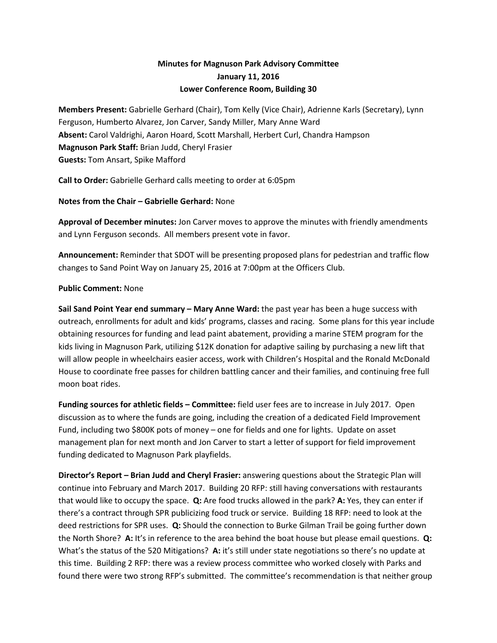## Minutes for Magnuson Park Advisory Committee January 11, 2016 Lower Conference Room, Building 30

Members Present: Gabrielle Gerhard (Chair), Tom Kelly (Vice Chair), Adrienne Karls (Secretary), Lynn Ferguson, Humberto Alvarez, Jon Carver, Sandy Miller, Mary Anne Ward Absent: Carol Valdrighi, Aaron Hoard, Scott Marshall, Herbert Curl, Chandra Hampson Magnuson Park Staff: Brian Judd, Cheryl Frasier Guests: Tom Ansart, Spike Mafford

Call to Order: Gabrielle Gerhard calls meeting to order at 6:05pm

Notes from the Chair – Gabrielle Gerhard: None

Approval of December minutes: Jon Carver moves to approve the minutes with friendly amendments and Lynn Ferguson seconds. All members present vote in favor.

Announcement: Reminder that SDOT will be presenting proposed plans for pedestrian and traffic flow changes to Sand Point Way on January 25, 2016 at 7:00pm at the Officers Club.

## Public Comment: None

Sail Sand Point Year end summary – Mary Anne Ward: the past year has been a huge success with outreach, enrollments for adult and kids' programs, classes and racing. Some plans for this year include obtaining resources for funding and lead paint abatement, providing a marine STEM program for the kids living in Magnuson Park, utilizing \$12K donation for adaptive sailing by purchasing a new lift that will allow people in wheelchairs easier access, work with Children's Hospital and the Ronald McDonald House to coordinate free passes for children battling cancer and their families, and continuing free full moon boat rides.

Funding sources for athletic fields – Committee: field user fees are to increase in July 2017. Open discussion as to where the funds are going, including the creation of a dedicated Field Improvement Fund, including two \$800K pots of money – one for fields and one for lights. Update on asset management plan for next month and Jon Carver to start a letter of support for field improvement funding dedicated to Magnuson Park playfields.

Director's Report – Brian Judd and Cheryl Frasier: answering questions about the Strategic Plan will continue into February and March 2017. Building 20 RFP: still having conversations with restaurants that would like to occupy the space.  $Q:$  Are food trucks allowed in the park? A: Yes, they can enter if there's a contract through SPR publicizing food truck or service. Building 18 RFP: need to look at the deed restrictions for SPR uses. Q: Should the connection to Burke Gilman Trail be going further down the North Shore? A: It's in reference to the area behind the boat house but please email questions. Q: What's the status of the 520 Mitigations? A: it's still under state negotiations so there's no update at this time. Building 2 RFP: there was a review process committee who worked closely with Parks and found there were two strong RFP's submitted. The committee's recommendation is that neither group